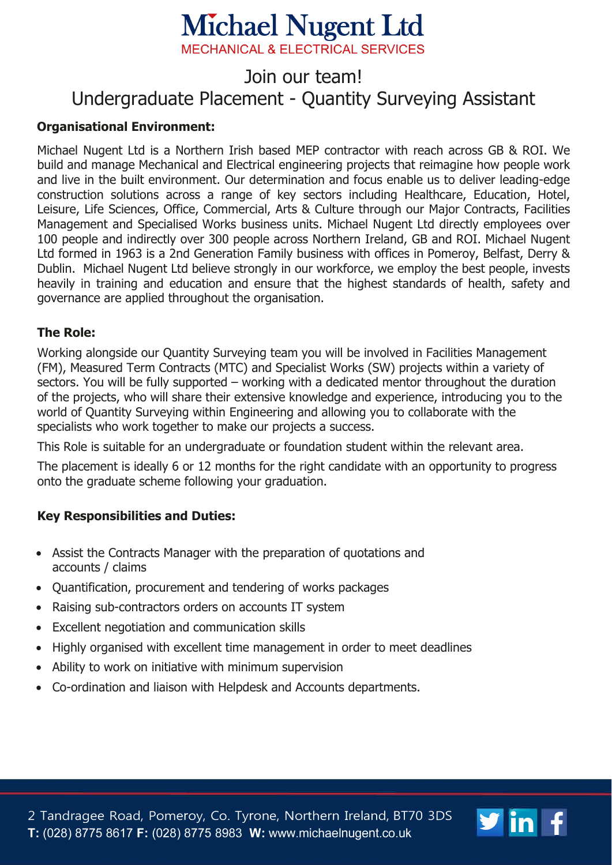# **Michael Nugent Ltd**

**MECHANICAL & ELECTRICAL SERVICES** 

## Join our team! Undergraduate Placement - Quantity Surveying Assistant

### **Organisational Environment:**

Michael Nugent Ltd is a Northern Irish based MEP contractor with reach across GB & ROI. We build and manage Mechanical and Electrical engineering projects that reimagine how people work and live in the built environment. Our determination and focus enable us to deliver leading-edge construction solutions across a range of key sectors including Healthcare, Education, Hotel, Leisure, Life Sciences, Office, Commercial, Arts & Culture through our Major Contracts, Facilities Management and Specialised Works business units. Michael Nugent Ltd directly employees over 100 people and indirectly over 300 people across Northern Ireland, GB and ROI. Michael Nugent Ltd formed in 1963 is a 2nd Generation Family business with offices in Pomeroy, Belfast, Derry & Dublin. Michael Nugent Ltd believe strongly in our workforce, we employ the best people, invests heavily in training and education and ensure that the highest standards of health, safety and governance are applied throughout the organisation.

#### **The Role:**

Working alongside our Quantity Surveying team you will be involved in Facilities Management (FM), Measured Term Contracts (MTC) and Specialist Works (SW) projects within a variety of sectors. You will be fully supported – working with a dedicated mentor throughout the duration of the projects, who will share their extensive knowledge and experience, introducing you to the world of Quantity Surveying within Engineering and allowing you to collaborate with the specialists who work together to make our projects a success.

This Role is suitable for an undergraduate or foundation student within the relevant area.

The placement is ideally 6 or 12 months for the right candidate with an opportunity to progress onto the graduate scheme following your graduation.

#### **Key Responsibilities and Duties:**

- Assist the Contracts Manager with the preparation of quotations and accounts / claims
- Quantification, procurement and tendering of works packages
- Raising sub-contractors orders on accounts IT system
- Excellent negotiation and communication skills
- Highly organised with excellent time management in order to meet deadlines
- Ability to work on initiative with minimum supervision
- Co-ordination and liaison with Helpdesk and Accounts departments.